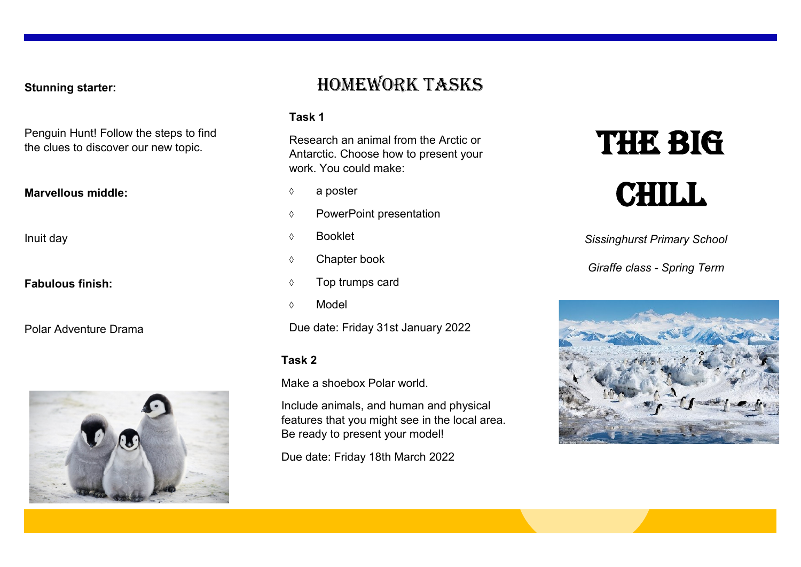**Stunning starter:**

Penguin Hunt! Follow the steps to find the clues to discover our new topic.

#### **Marvellous middle:**

Inuit day

**Fabulous finish:**

Polar Adventure Drama



## Homework tasks

#### **Task 1**

Research an animal from the Arctic or Antarctic. Choose how to present your work. You could make:

- $\Diamond$  a poster
- PowerPoint presentation
- Booklet
- Chapter book
- $\Diamond$  Top trumps card
- Model

Due date: Friday 31st January 2022

#### **Task 2**

Make a shoebox Polar world.

Include animals, and human and physical features that you might see in the local area. Be ready to present your model!

Due date: Friday 18th March 2022

# **THE BIG CHILL**

*Sissinghurst Primary School*

*Giraffe class - Spring Term*